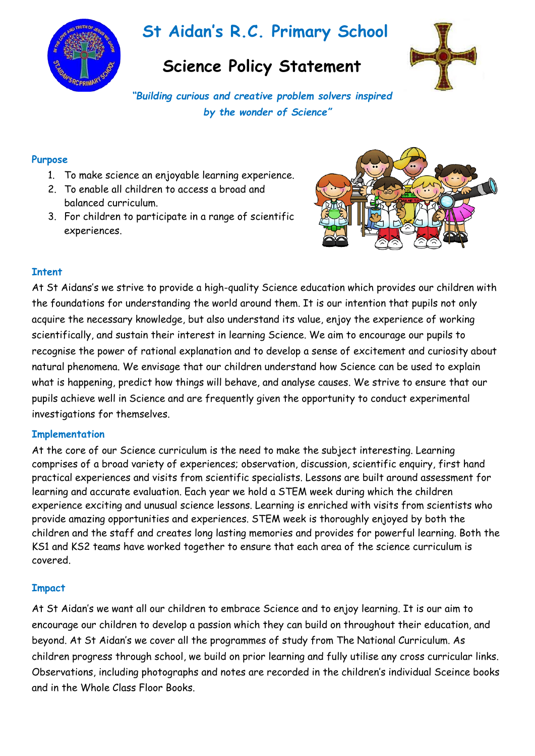

# **St Aidan's R.C. Primary School**

# **Science Policy Statement**



*"Building curious and creative problem solvers inspired by the wonder of Science"*

#### **Purpose**

- 1. To make science an enjoyable learning experience.
- 2. To enable all children to access a broad and balanced curriculum.
- 3. For children to participate in a range of scientific experiences.



# **Intent**

At St Aidans's we strive to provide a high-quality Science education which provides our children with the foundations for understanding the world around them. It is our intention that pupils not only acquire the necessary knowledge, but also understand its value, enjoy the experience of working scientifically, and sustain their interest in learning Science. We aim to encourage our pupils to recognise the power of rational explanation and to develop a sense of excitement and curiosity about natural phenomena. We envisage that our children understand how Science can be used to explain what is happening, predict how things will behave, and analyse causes. We strive to ensure that our pupils achieve well in Science and are frequently given the opportunity to conduct experimental investigations for themselves.

### **Implementation**

At the core of our Science curriculum is the need to make the subject interesting. Learning comprises of a broad variety of experiences; observation, discussion, scientific enquiry, first hand practical experiences and visits from scientific specialists. Lessons are built around assessment for learning and accurate evaluation. Each year we hold a STEM week during which the children experience exciting and unusual science lessons. Learning is enriched with visits from scientists who provide amazing opportunities and experiences. STEM week is thoroughly enjoyed by both the children and the staff and creates long lasting memories and provides for powerful learning. Both the KS1 and KS2 teams have worked together to ensure that each area of the science curriculum is covered.

### **Impact**

At St Aidan's we want all our children to embrace Science and to enjoy learning. It is our aim to encourage our children to develop a passion which they can build on throughout their education, and beyond. At St Aidan's we cover all the programmes of study from The National Curriculum. As children progress through school, we build on prior learning and fully utilise any cross curricular links. Observations, including photographs and notes are recorded in the children's individual Sceince books and in the Whole Class Floor Books.